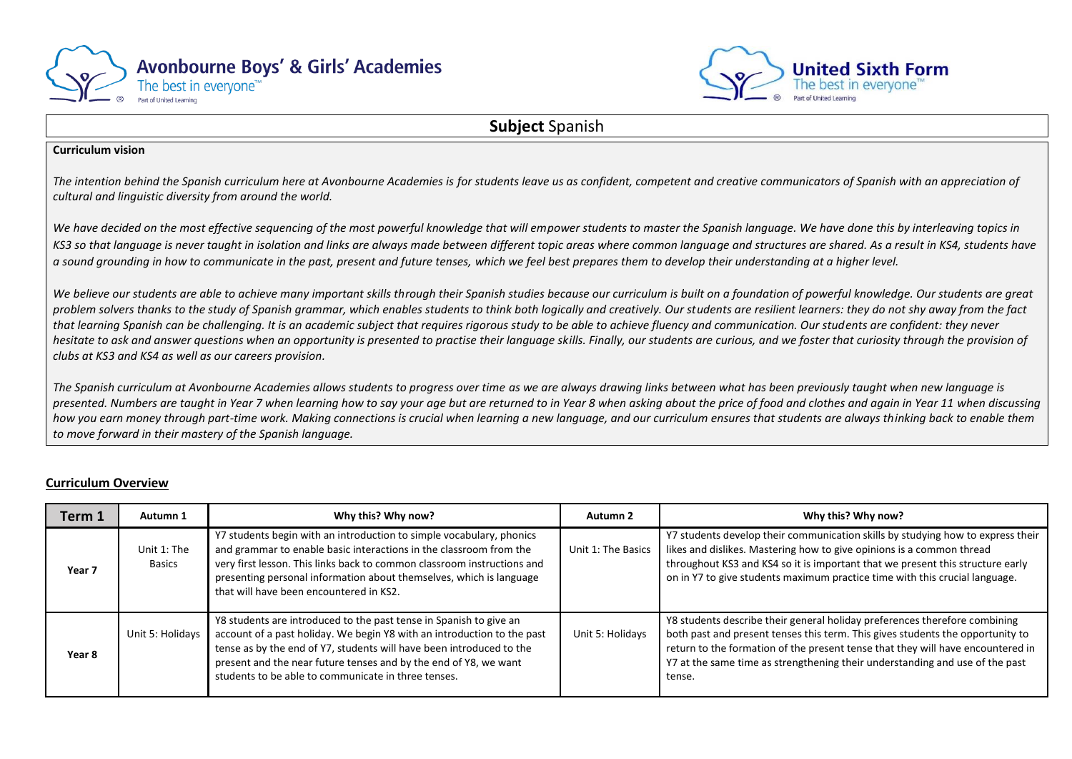



## **Subject** Spanish

## **Curriculum vision**

The intention behind the Spanish curriculum here at Avonbourne Academies is for students leave us as confident, competent and creative communicators of Spanish with an appreciation of *cultural and linguistic diversity from around the world.* 

We have decided on the most effective sequencing of the most powerful knowledge that will empower students to master the Spanish language. We have done this by interleaving topics in KS3 so that language is never taught in isolation and links are always made between different topic areas where common language and structures are shared. As a result in KS4, students have *a sound grounding in how to communicate in the past, present and future tenses, which we feel best prepares them to develop their understanding at a higher level.*

We believe our students are able to achieve many important skills through their Spanish studies because our curriculum is built on a foundation of powerful knowledge. Our students are great *problem solvers thanks to the study of Spanish grammar, which enables students to think both logically and creatively. Our students are resilient learners: they do not shy away from the fact that learning Spanish can be challenging. It is an academic subject that requires rigorous study to be able to achieve fluency and communication. Our students are confident: they never hesitate to ask and answer questions when an opportunity is presented to practise their language skills. Finally, our students are curious, and we foster that curiosity through the provision of clubs at KS3 and KS4 as well as our careers provision.*

*The Spanish curriculum at Avonbourne Academies allows students to progress over time as we are always drawing links between what has been previously taught when new language is presented. Numbers are taught in Year 7 when learning how to say your age but are returned to in Year 8 when asking about the price of food and clothes and again in Year 11 when discussing* how you earn money through part-time work. Making connections is crucial when learning a new language, and our curriculum ensures that students are always thinking back to enable them *to move forward in their mastery of the Spanish language.*

## **Curriculum Overview**

| Term 1            | Autumn 1                     | Why this? Why now?                                                                                                                                                                                                                                                                                                                               | Autumn 2           | Why this? Why now?                                                                                                                                                                                                                                                                                                                        |
|-------------------|------------------------------|--------------------------------------------------------------------------------------------------------------------------------------------------------------------------------------------------------------------------------------------------------------------------------------------------------------------------------------------------|--------------------|-------------------------------------------------------------------------------------------------------------------------------------------------------------------------------------------------------------------------------------------------------------------------------------------------------------------------------------------|
| Year <sub>7</sub> | Unit 1: The<br><b>Basics</b> | Y7 students begin with an introduction to simple vocabulary, phonics<br>and grammar to enable basic interactions in the classroom from the<br>very first lesson. This links back to common classroom instructions and<br>presenting personal information about themselves, which is language<br>that will have been encountered in KS2.          | Unit 1: The Basics | Y7 students develop their communication skills by studying how to express their<br>likes and dislikes. Mastering how to give opinions is a common thread<br>throughout KS3 and KS4 so it is important that we present this structure early<br>on in Y7 to give students maximum practice time with this crucial language.                 |
| Year 8            | Unit 5: Holidays             | Y8 students are introduced to the past tense in Spanish to give an<br>account of a past holiday. We begin Y8 with an introduction to the past<br>tense as by the end of Y7, students will have been introduced to the<br>present and the near future tenses and by the end of Y8, we want<br>students to be able to communicate in three tenses. | Unit 5: Holidays   | Y8 students describe their general holiday preferences therefore combining<br>both past and present tenses this term. This gives students the opportunity to<br>return to the formation of the present tense that they will have encountered in<br>Y7 at the same time as strengthening their understanding and use of the past<br>tense. |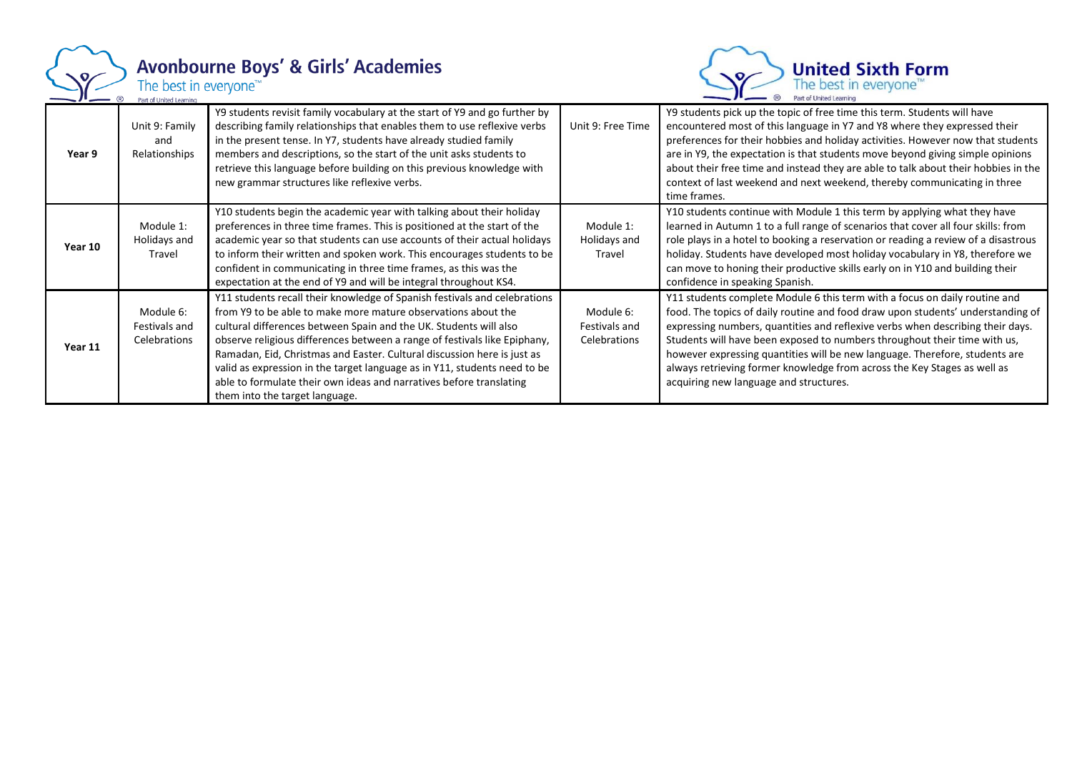

## Avonbourne Boys' & Girls' Academies<br>The best in everyone<sup>TW</sup><br>Part of United Learning



| Year 9  | Unit 9: Family<br>and<br>Relationships     | Y9 students revisit family vocabulary at the start of Y9 and go further by<br>describing family relationships that enables them to use reflexive verbs<br>in the present tense. In Y7, students have already studied family<br>members and descriptions, so the start of the unit asks students to<br>retrieve this language before building on this previous knowledge with<br>new grammar structures like reflexive verbs.                                                                                                                                  | Unit 9: Free Time                          | Y9 students pick up the topic of free time this term. Students will have<br>encountered most of this language in Y7 and Y8 where they expressed their<br>preferences for their hobbies and holiday activities. However now that students<br>are in Y9, the expectation is that students move beyond giving simple opinions<br>about their free time and instead they are able to talk about their hobbies in the<br>context of last weekend and next weekend, thereby communicating in three<br>time frames.                      |
|---------|--------------------------------------------|---------------------------------------------------------------------------------------------------------------------------------------------------------------------------------------------------------------------------------------------------------------------------------------------------------------------------------------------------------------------------------------------------------------------------------------------------------------------------------------------------------------------------------------------------------------|--------------------------------------------|-----------------------------------------------------------------------------------------------------------------------------------------------------------------------------------------------------------------------------------------------------------------------------------------------------------------------------------------------------------------------------------------------------------------------------------------------------------------------------------------------------------------------------------|
| Year 10 | Module 1:<br>Holidays and<br>Travel        | Y10 students begin the academic year with talking about their holiday<br>preferences in three time frames. This is positioned at the start of the<br>academic year so that students can use accounts of their actual holidays<br>to inform their written and spoken work. This encourages students to be<br>confident in communicating in three time frames, as this was the<br>expectation at the end of Y9 and will be integral throughout KS4.                                                                                                             | Module 1:<br>Holidays and<br>Travel        | Y10 students continue with Module 1 this term by applying what they have<br>learned in Autumn 1 to a full range of scenarios that cover all four skills: from<br>role plays in a hotel to booking a reservation or reading a review of a disastrous<br>holiday. Students have developed most holiday vocabulary in Y8, therefore we<br>can move to honing their productive skills early on in Y10 and building their<br>confidence in speaking Spanish.                                                                           |
| Year 11 | Module 6:<br>Festivals and<br>Celebrations | Y11 students recall their knowledge of Spanish festivals and celebrations<br>from Y9 to be able to make more mature observations about the<br>cultural differences between Spain and the UK. Students will also<br>observe religious differences between a range of festivals like Epiphany,<br>Ramadan, Eid, Christmas and Easter. Cultural discussion here is just as<br>valid as expression in the target language as in Y11, students need to be<br>able to formulate their own ideas and narratives before translating<br>them into the target language. | Module 6:<br>Festivals and<br>Celebrations | Y11 students complete Module 6 this term with a focus on daily routine and<br>food. The topics of daily routine and food draw upon students' understanding of<br>expressing numbers, quantities and reflexive verbs when describing their days.<br>Students will have been exposed to numbers throughout their time with us,<br>however expressing quantities will be new language. Therefore, students are<br>always retrieving former knowledge from across the Key Stages as well as<br>acquiring new language and structures. |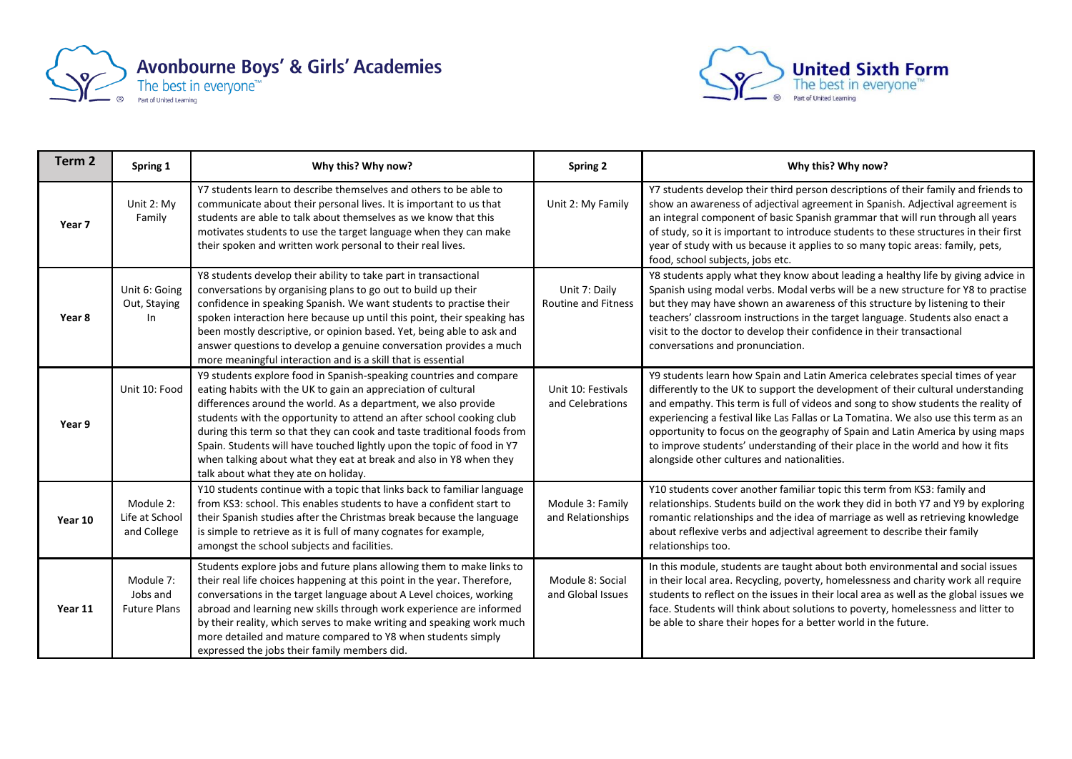



| Term <sub>2</sub> | Spring 1                                     | Why this? Why now?                                                                                                                                                                                                                                                                                                                                                                                                                                                                                                                               | <b>Spring 2</b>                        | Why this? Why now?                                                                                                                                                                                                                                                                                                                                                                                                                                                                                                                                                |
|-------------------|----------------------------------------------|--------------------------------------------------------------------------------------------------------------------------------------------------------------------------------------------------------------------------------------------------------------------------------------------------------------------------------------------------------------------------------------------------------------------------------------------------------------------------------------------------------------------------------------------------|----------------------------------------|-------------------------------------------------------------------------------------------------------------------------------------------------------------------------------------------------------------------------------------------------------------------------------------------------------------------------------------------------------------------------------------------------------------------------------------------------------------------------------------------------------------------------------------------------------------------|
| Year 7            | Unit 2: My<br>Family                         | Y7 students learn to describe themselves and others to be able to<br>communicate about their personal lives. It is important to us that<br>students are able to talk about themselves as we know that this<br>motivates students to use the target language when they can make<br>their spoken and written work personal to their real lives.                                                                                                                                                                                                    | Unit 2: My Family                      | Y7 students develop their third person descriptions of their family and friends to<br>show an awareness of adjectival agreement in Spanish. Adjectival agreement is<br>an integral component of basic Spanish grammar that will run through all years<br>of study, so it is important to introduce students to these structures in their first<br>year of study with us because it applies to so many topic areas: family, pets,<br>food, school subjects, jobs etc.                                                                                              |
| Year 8            | Unit 6: Going<br>Out, Staying<br>In          | Y8 students develop their ability to take part in transactional<br>conversations by organising plans to go out to build up their<br>confidence in speaking Spanish. We want students to practise their<br>spoken interaction here because up until this point, their speaking has<br>been mostly descriptive, or opinion based. Yet, being able to ask and<br>answer questions to develop a genuine conversation provides a much<br>more meaningful interaction and is a skill that is essential                                                 | Unit 7: Daily<br>Routine and Fitness   | Y8 students apply what they know about leading a healthy life by giving advice in<br>Spanish using modal verbs. Modal verbs will be a new structure for Y8 to practise<br>but they may have shown an awareness of this structure by listening to their<br>teachers' classroom instructions in the target language. Students also enact a<br>visit to the doctor to develop their confidence in their transactional<br>conversations and pronunciation.                                                                                                            |
| Year 9            | Unit 10: Food                                | Y9 students explore food in Spanish-speaking countries and compare<br>eating habits with the UK to gain an appreciation of cultural<br>differences around the world. As a department, we also provide<br>students with the opportunity to attend an after school cooking club<br>during this term so that they can cook and taste traditional foods from<br>Spain. Students will have touched lightly upon the topic of food in Y7<br>when talking about what they eat at break and also in Y8 when they<br>talk about what they ate on holiday. | Unit 10: Festivals<br>and Celebrations | Y9 students learn how Spain and Latin America celebrates special times of year<br>differently to the UK to support the development of their cultural understanding<br>and empathy. This term is full of videos and song to show students the reality of<br>experiencing a festival like Las Fallas or La Tomatina. We also use this term as an<br>opportunity to focus on the geography of Spain and Latin America by using maps<br>to improve students' understanding of their place in the world and how it fits<br>alongside other cultures and nationalities. |
| Year 10           | Module 2:<br>Life at School<br>and College   | Y10 students continue with a topic that links back to familiar language<br>from KS3: school. This enables students to have a confident start to<br>their Spanish studies after the Christmas break because the language<br>is simple to retrieve as it is full of many cognates for example,<br>amongst the school subjects and facilities.                                                                                                                                                                                                      | Module 3: Family<br>and Relationships  | Y10 students cover another familiar topic this term from KS3: family and<br>relationships. Students build on the work they did in both Y7 and Y9 by exploring<br>romantic relationships and the idea of marriage as well as retrieving knowledge<br>about reflexive verbs and adjectival agreement to describe their family<br>relationships too.                                                                                                                                                                                                                 |
| Year 11           | Module 7:<br>Jobs and<br><b>Future Plans</b> | Students explore jobs and future plans allowing them to make links to<br>their real life choices happening at this point in the year. Therefore,<br>conversations in the target language about A Level choices, working<br>abroad and learning new skills through work experience are informed<br>by their reality, which serves to make writing and speaking work much<br>more detailed and mature compared to Y8 when students simply<br>expressed the jobs their family members did.                                                          | Module 8: Social<br>and Global Issues  | In this module, students are taught about both environmental and social issues<br>in their local area. Recycling, poverty, homelessness and charity work all require<br>students to reflect on the issues in their local area as well as the global issues we<br>face. Students will think about solutions to poverty, homelessness and litter to<br>be able to share their hopes for a better world in the future.                                                                                                                                               |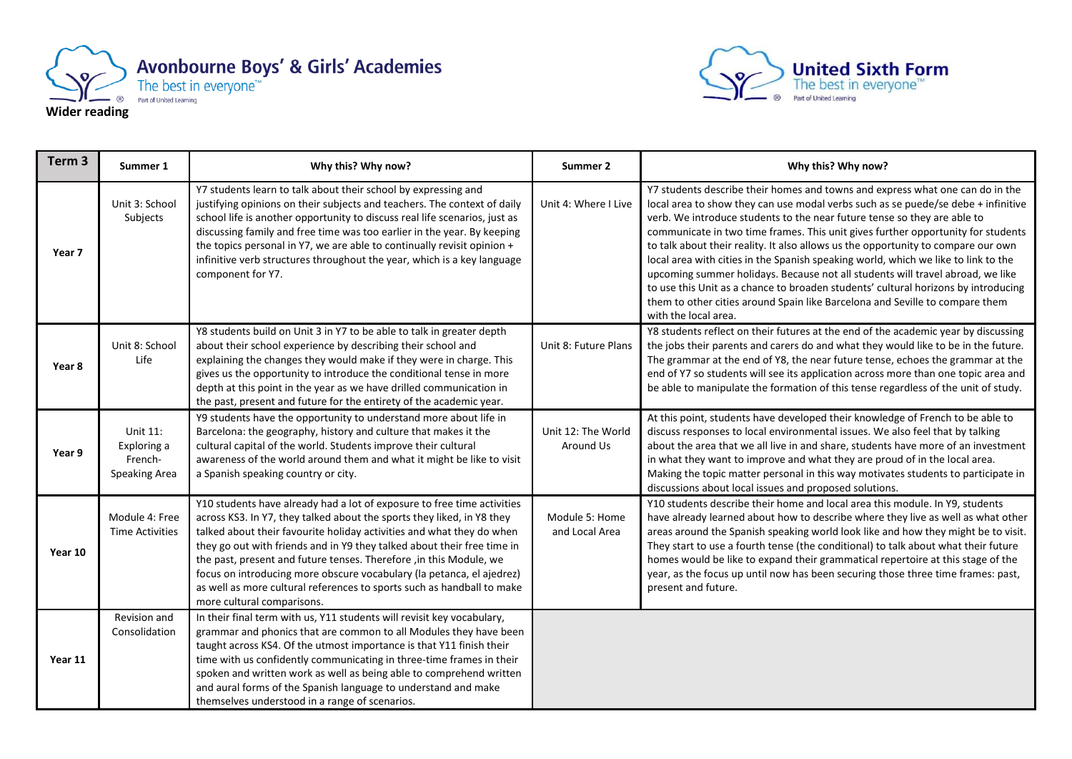



| Term <sub>3</sub> | Summer 1                                            | Why this? Why now?                                                                                                                                                                                                                                                                                                                                                                                                                                                                                                                                            | Summer 2                         | Why this? Why now?                                                                                                                                                                                                                                                                                                                                                                                                                                                                                                                                                                                                                                                                                                                                                                            |
|-------------------|-----------------------------------------------------|---------------------------------------------------------------------------------------------------------------------------------------------------------------------------------------------------------------------------------------------------------------------------------------------------------------------------------------------------------------------------------------------------------------------------------------------------------------------------------------------------------------------------------------------------------------|----------------------------------|-----------------------------------------------------------------------------------------------------------------------------------------------------------------------------------------------------------------------------------------------------------------------------------------------------------------------------------------------------------------------------------------------------------------------------------------------------------------------------------------------------------------------------------------------------------------------------------------------------------------------------------------------------------------------------------------------------------------------------------------------------------------------------------------------|
| Year 7            | Unit 3: School<br>Subjects                          | Y7 students learn to talk about their school by expressing and<br>justifying opinions on their subjects and teachers. The context of daily<br>school life is another opportunity to discuss real life scenarios, just as<br>discussing family and free time was too earlier in the year. By keeping<br>the topics personal in Y7, we are able to continually revisit opinion +<br>infinitive verb structures throughout the year, which is a key language<br>component for Y7.                                                                                | Unit 4: Where I Live             | Y7 students describe their homes and towns and express what one can do in the<br>local area to show they can use modal verbs such as se puede/se debe + infinitive<br>verb. We introduce students to the near future tense so they are able to<br>communicate in two time frames. This unit gives further opportunity for students<br>to talk about their reality. It also allows us the opportunity to compare our own<br>local area with cities in the Spanish speaking world, which we like to link to the<br>upcoming summer holidays. Because not all students will travel abroad, we like<br>to use this Unit as a chance to broaden students' cultural horizons by introducing<br>them to other cities around Spain like Barcelona and Seville to compare them<br>with the local area. |
| Year 8            | Unit 8: School<br>Life                              | Y8 students build on Unit 3 in Y7 to be able to talk in greater depth<br>about their school experience by describing their school and<br>explaining the changes they would make if they were in charge. This<br>gives us the opportunity to introduce the conditional tense in more<br>depth at this point in the year as we have drilled communication in<br>the past, present and future for the entirety of the academic year.                                                                                                                             | Unit 8: Future Plans             | Y8 students reflect on their futures at the end of the academic year by discussing<br>the jobs their parents and carers do and what they would like to be in the future.<br>The grammar at the end of Y8, the near future tense, echoes the grammar at the<br>end of Y7 so students will see its application across more than one topic area and<br>be able to manipulate the formation of this tense regardless of the unit of study.                                                                                                                                                                                                                                                                                                                                                        |
| Year 9            | Unit 11:<br>Exploring a<br>French-<br>Speaking Area | Y9 students have the opportunity to understand more about life in<br>Barcelona: the geography, history and culture that makes it the<br>cultural capital of the world. Students improve their cultural<br>awareness of the world around them and what it might be like to visit<br>a Spanish speaking country or city.                                                                                                                                                                                                                                        | Unit 12: The World<br>Around Us  | At this point, students have developed their knowledge of French to be able to<br>discuss responses to local environmental issues. We also feel that by talking<br>about the area that we all live in and share, students have more of an investment<br>in what they want to improve and what they are proud of in the local area.<br>Making the topic matter personal in this way motivates students to participate in<br>discussions about local issues and proposed solutions.                                                                                                                                                                                                                                                                                                             |
| Year 10           | Module 4: Free<br><b>Time Activities</b>            | Y10 students have already had a lot of exposure to free time activities<br>across KS3. In Y7, they talked about the sports they liked, in Y8 they<br>talked about their favourite holiday activities and what they do when<br>they go out with friends and in Y9 they talked about their free time in<br>the past, present and future tenses. Therefore , in this Module, we<br>focus on introducing more obscure vocabulary (la petanca, el ajedrez)<br>as well as more cultural references to sports such as handball to make<br>more cultural comparisons. | Module 5: Home<br>and Local Area | Y10 students describe their home and local area this module. In Y9, students<br>have already learned about how to describe where they live as well as what other<br>areas around the Spanish speaking world look like and how they might be to visit.<br>They start to use a fourth tense (the conditional) to talk about what their future<br>homes would be like to expand their grammatical repertoire at this stage of the<br>year, as the focus up until now has been securing those three time frames: past,<br>present and future.                                                                                                                                                                                                                                                     |
| Year 11           | Revision and<br>Consolidation                       | In their final term with us, Y11 students will revisit key vocabulary,<br>grammar and phonics that are common to all Modules they have been<br>taught across KS4. Of the utmost importance is that Y11 finish their<br>time with us confidently communicating in three-time frames in their<br>spoken and written work as well as being able to comprehend written<br>and aural forms of the Spanish language to understand and make<br>themselves understood in a range of scenarios.                                                                        |                                  |                                                                                                                                                                                                                                                                                                                                                                                                                                                                                                                                                                                                                                                                                                                                                                                               |